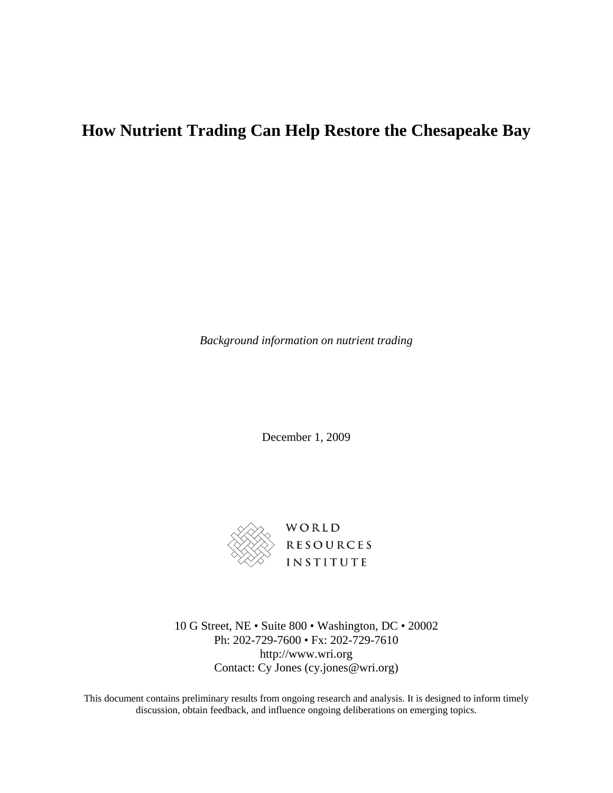## **How Nutrient Trading Can Help Restore the Chesapeake Bay**

*Background information on nutrient trading* 

December 1, 2009



10 G Street, NE • Suite 800 • Washington, DC • 20002 Ph: 202-729-7600 • Fx: 202-729-7610 http://www.wri.org Contact: Cy Jones (cy.jones@wri.org)

This document contains preliminary results from ongoing research and analysis. It is designed to inform timely discussion, obtain feedback, and influence ongoing deliberations on emerging topics.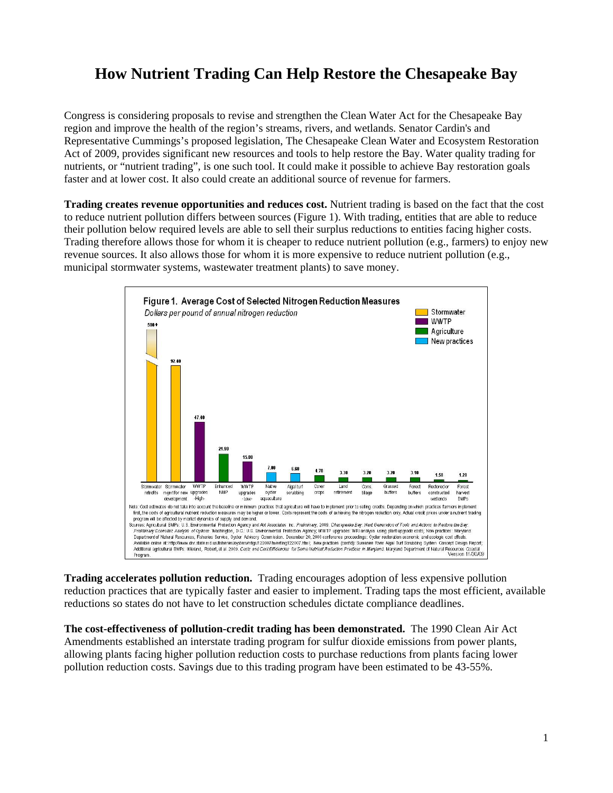## **How Nutrient Trading Can Help Restore the Chesapeake Bay**

Congress is considering proposals to revise and strengthen the Clean Water Act for the Chesapeake Bay region and improve the health of the region's streams, rivers, and wetlands. Senator Cardin's and Representative Cummings's proposed legislation, The Chesapeake Clean Water and Ecosystem Restoration Act of 2009, provides significant new resources and tools to help restore the Bay. Water quality trading for nutrients, or "nutrient trading", is one such tool. It could make it possible to achieve Bay restoration goals faster and at lower cost. It also could create an additional source of revenue for farmers.

**Trading creates revenue opportunities and reduces cost.** Nutrient trading is based on the fact that the cost to reduce nutrient pollution differs between sources (Figure 1). With trading, entities that are able to reduce their pollution below required levels are able to sell their surplus reductions to entities facing higher costs. Trading therefore allows those for whom it is cheaper to reduce nutrient pollution (e.g., farmers) to enjoy new revenue sources. It also allows those for whom it is more expensive to reduce nutrient pollution (e.g., municipal stormwater systems, wastewater treatment plants) to save money.



**Trading accelerates pollution reduction.** Trading encourages adoption of less expensive pollution reduction practices that are typically faster and easier to implement. Trading taps the most efficient, available reductions so states do not have to let construction schedules dictate compliance deadlines.

**The cost-effectiveness of pollution-credit trading has been demonstrated.** The 1990 Clean Air Act Amendments established an interstate trading program for sulfur dioxide emissions from power plants, allowing plants facing higher pollution reduction costs to purchase reductions from plants facing lower pollution reduction costs. Savings due to this trading program have been estimated to be 43-55%.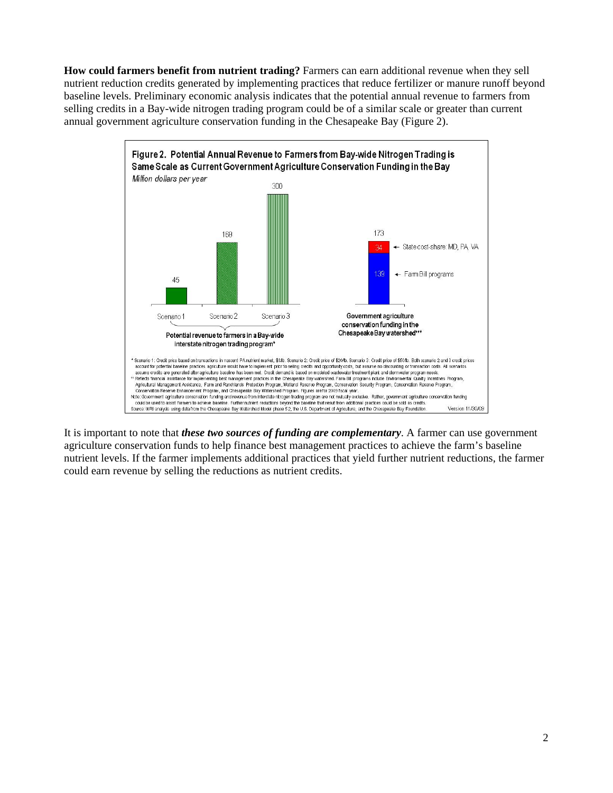**How could farmers benefit from nutrient trading?** Farmers can earn additional revenue when they sell nutrient reduction credits generated by implementing practices that reduce fertilizer or manure runoff beyond baseline levels. Preliminary economic analysis indicates that the potential annual revenue to farmers from selling credits in a Bay-wide nitrogen trading program could be of a similar scale or greater than current annual government agriculture conservation funding in the Chesapeake Bay (Figure 2).



It is important to note that *these two sources of funding are complementary*. A farmer can use government agriculture conservation funds to help finance best management practices to achieve the farm's baseline nutrient levels. If the farmer implements additional practices that yield further nutrient reductions, the farmer could earn revenue by selling the reductions as nutrient credits.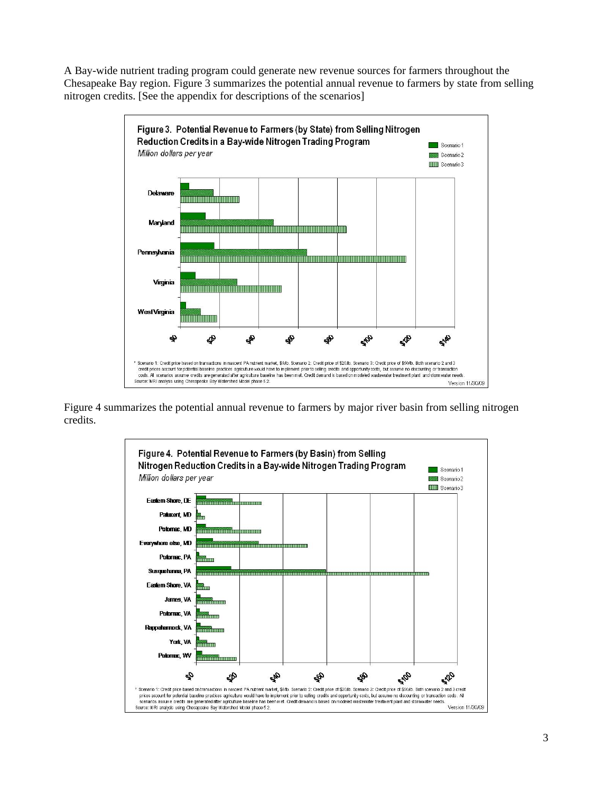A Bay-wide nutrient trading program could generate new revenue sources for farmers throughout the Chesapeake Bay region. Figure 3 summarizes the potential annual revenue to farmers by state from selling nitrogen credits. [See the appendix for descriptions of the scenarios]



Figure 4 summarizes the potential annual revenue to farmers by major river basin from selling nitrogen credits.

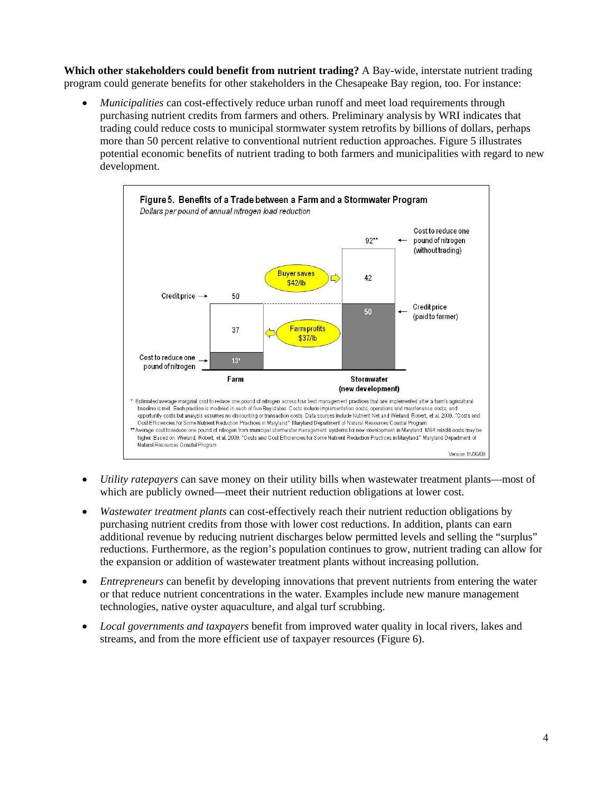**Which other stakeholders could benefit from nutrient trading?** A Bay-wide, interstate nutrient trading program could generate benefits for other stakeholders in the Chesapeake Bay region, too. For instance:

• *Municipalities* can cost-effectively reduce urban runoff and meet load requirements through purchasing nutrient credits from farmers and others. Preliminary analysis by WRI indicates that trading could reduce costs to municipal stormwater system retrofits by billions of dollars, perhaps more than 50 percent relative to conventional nutrient reduction approaches. Figure 5 illustrates potential economic benefits of nutrient trading to both farmers and municipalities with regard to new development.



- *Utility ratepayers* can save money on their utility bills when wastewater treatment plants—most of which are publicly owned—meet their nutrient reduction obligations at lower cost.
- *Wastewater treatment plants* can cost-effectively reach their nutrient reduction obligations by purchasing nutrient credits from those with lower cost reductions. In addition, plants can earn additional revenue by reducing nutrient discharges below permitted levels and selling the "surplus" reductions. Furthermore, as the region's population continues to grow, nutrient trading can allow for the expansion or addition of wastewater treatment plants without increasing pollution.
- *Entrepreneurs* can benefit by developing innovations that prevent nutrients from entering the water or that reduce nutrient concentrations in the water. Examples include new manure management technologies, native oyster aquaculture, and algal turf scrubbing.
- *Local governments and taxpayers* benefit from improved water quality in local rivers, lakes and streams, and from the more efficient use of taxpayer resources (Figure 6).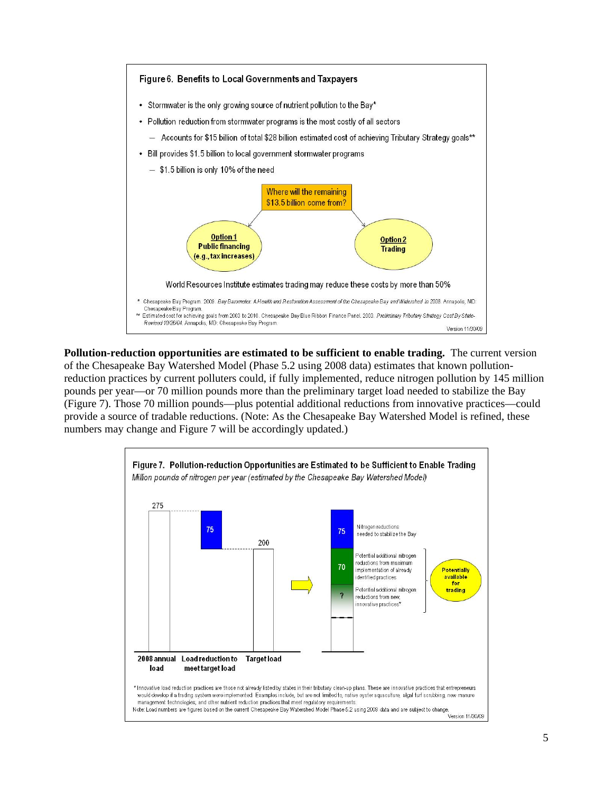

**Pollution-reduction opportunities are estimated to be sufficient to enable trading.** The current version of the Chesapeake Bay Watershed Model (Phase 5.2 using 2008 data) estimates that known pollutionreduction practices by current polluters could, if fully implemented, reduce nitrogen pollution by 145 million pounds per year—or 70 million pounds more than the preliminary target load needed to stabilize the Bay (Figure 7). Those 70 million pounds—plus potential additional reductions from innovative practices—could provide a source of tradable reductions. (Note: As the Chesapeake Bay Watershed Model is refined, these numbers may change and Figure 7 will be accordingly updated.)